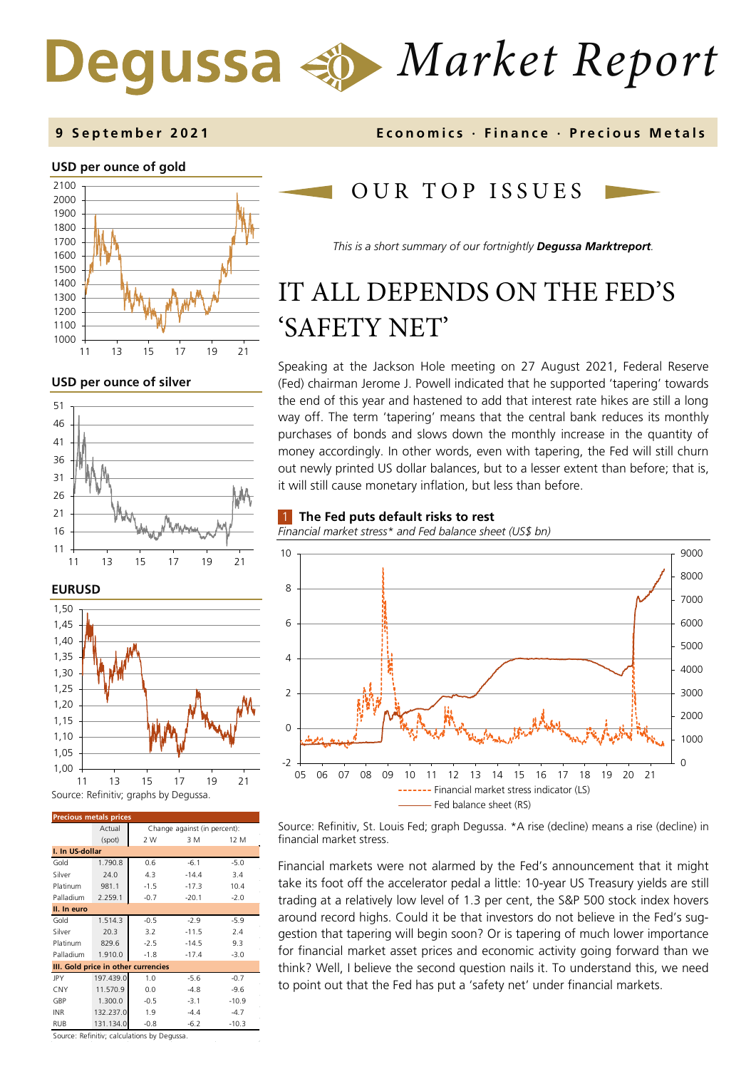# *Market Report*

### **USD per ounce of gold**



**USD per ounce of silver** 







| <b>Precious metals prices</b>       |           |                              |         |         |  |  |
|-------------------------------------|-----------|------------------------------|---------|---------|--|--|
|                                     | Actual    | Change against (in percent): |         |         |  |  |
|                                     | (spot)    | 2 W                          | 3 M     | 12 M    |  |  |
| I. In US-dollar                     |           |                              |         |         |  |  |
| Gold                                | 1.790.8   | 0.6                          | $-6.1$  | $-5.0$  |  |  |
| Silver                              | 24.0      | 4.3                          | $-14.4$ | 3.4     |  |  |
| Platinum                            | 981.1     | $-1.5$                       | $-17.3$ | 10.4    |  |  |
| Palladium                           | 2.259.1   | $-0.7$                       | $-20.1$ | $-2.0$  |  |  |
| II. In euro                         |           |                              |         |         |  |  |
| Gold                                | 1.514.3   | $-0.5$                       | $-2.9$  | $-5.9$  |  |  |
| Silver                              | 20.3      | 3.2                          | $-11.5$ | 2.4     |  |  |
| Platinum                            | 829.6     | $-2.5$                       | $-14.5$ | 9.3     |  |  |
| Palladium                           | 1.910.0   | $-1.8$                       | $-17.4$ | $-3.0$  |  |  |
| III. Gold price in other currencies |           |                              |         |         |  |  |
| JPY                                 | 197.439.0 | 1.0                          | $-5.6$  | $-0.7$  |  |  |
| CNY                                 | 11.570.9  | 0.0                          | $-4.8$  | $-9.6$  |  |  |
| GBP                                 | 1.300.0   | $-0.5$                       | $-3.1$  | $-10.9$ |  |  |
| <b>INR</b>                          | 132.237.0 | 1.9                          | $-4.4$  | $-4.7$  |  |  |
| <b>RUB</b>                          | 131.134.0 | $-0.8$                       | $-6.2$  | $-10.3$ |  |  |

Source: Refinitiv; calculations by Degussa.

### OUR TOP ISSUE S

*This is a short summary of our fortnightly Degussa Marktreport.*

# IT ALL DEPENDS ON THE FED'S 'SAFETY NET'

Speaking at the Jackson Hole meeting on 27 August 2021, Federal Reserve (Fed) chairman Jerome J. Powell indicated that he supported 'tapering' towards the end of this year and hastened to add that interest rate hikes are still a long way off. The term 'tapering' means that the central bank reduces its monthly purchases of bonds and slows down the monthly increase in the quantity of money accordingly. In other words, even with tapering, the Fed will still churn out newly printed US dollar balances, but to a lesser extent than before; that is, it will still cause monetary inflation, but less than before.

### 1 **The Fed puts default risks to rest**

*Financial market stress\* and Fed balance sheet (US\$ bn)*



Source: Refinitiv, St. Louis Fed; graph Degussa. \*A rise (decline) means a rise (decline) in financial market stress.

Financial markets were not alarmed by the Fed's announcement that it might take its foot off the accelerator pedal a little: 10-year US Treasury yields are still trading at a relatively low level of 1.3 per cent, the S&P 500 stock index hovers around record highs. Could it be that investors do not believe in the Fed's suggestion that tapering will begin soon? Or is tapering of much lower importance for financial market asset prices and economic activity going forward than we think? Well, I believe the second question nails it. To understand this, we need to point out that the Fed has put a 'safety net' under financial markets.

**9 September 202 1 Economics · Finance · Precious M etals**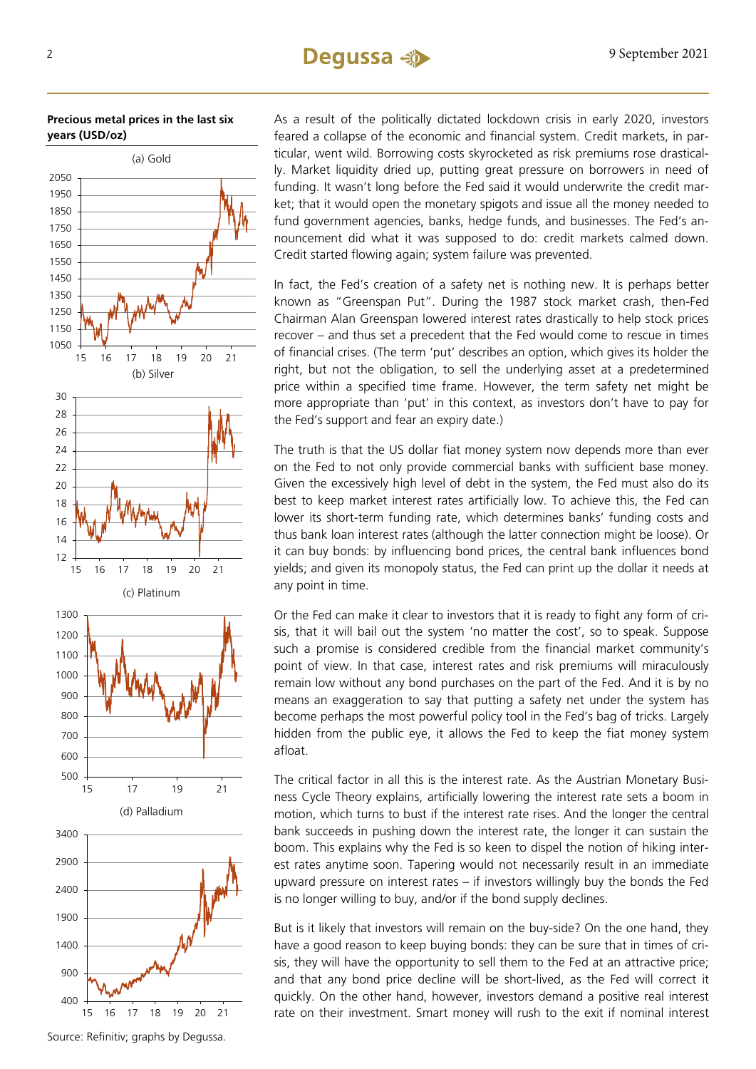### 2 9 September 2021

### **Precious metal prices in the last six years (USD/oz)**



As a result of the politically dictated lockdown crisis in early 2020, investors feared a collapse of the economic and financial system. Credit markets, in particular, went wild. Borrowing costs skyrocketed as risk premiums rose drastically. Market liquidity dried up, putting great pressure on borrowers in need of funding. It wasn't long before the Fed said it would underwrite the credit market; that it would open the monetary spigots and issue all the money needed to fund government agencies, banks, hedge funds, and businesses. The Fed's announcement did what it was supposed to do: credit markets calmed down. Credit started flowing again; system failure was prevented.

In fact, the Fed's creation of a safety net is nothing new. It is perhaps better known as "Greenspan Put". During the 1987 stock market crash, then-Fed Chairman Alan Greenspan lowered interest rates drastically to help stock prices recover – and thus set a precedent that the Fed would come to rescue in times of financial crises. (The term 'put' describes an option, which gives its holder the right, but not the obligation, to sell the underlying asset at a predetermined price within a specified time frame. However, the term safety net might be more appropriate than 'put' in this context, as investors don't have to pay for the Fed's support and fear an expiry date.)

The truth is that the US dollar fiat money system now depends more than ever on the Fed to not only provide commercial banks with sufficient base money. Given the excessively high level of debt in the system, the Fed must also do its best to keep market interest rates artificially low. To achieve this, the Fed can lower its short-term funding rate, which determines banks' funding costs and thus bank loan interest rates (although the latter connection might be loose). Or it can buy bonds: by influencing bond prices, the central bank influences bond yields; and given its monopoly status, the Fed can print up the dollar it needs at any point in time.

Or the Fed can make it clear to investors that it is ready to fight any form of crisis, that it will bail out the system 'no matter the cost', so to speak. Suppose such a promise is considered credible from the financial market community's point of view. In that case, interest rates and risk premiums will miraculously remain low without any bond purchases on the part of the Fed. And it is by no means an exaggeration to say that putting a safety net under the system has become perhaps the most powerful policy tool in the Fed's bag of tricks. Largely hidden from the public eye, it allows the Fed to keep the fiat money system afloat.

The critical factor in all this is the interest rate. As the Austrian Monetary Business Cycle Theory explains, artificially lowering the interest rate sets a boom in motion, which turns to bust if the interest rate rises. And the longer the central bank succeeds in pushing down the interest rate, the longer it can sustain the boom. This explains why the Fed is so keen to dispel the notion of hiking interest rates anytime soon. Tapering would not necessarily result in an immediate upward pressure on interest rates – if investors willingly buy the bonds the Fed is no longer willing to buy, and/or if the bond supply declines.

But is it likely that investors will remain on the buy-side? On the one hand, they have a good reason to keep buying bonds: they can be sure that in times of crisis, they will have the opportunity to sell them to the Fed at an attractive price; and that any bond price decline will be short-lived, as the Fed will correct it quickly. On the other hand, however, investors demand a positive real interest rate on their investment. Smart money will rush to the exit if nominal interest

Source: Refinitiv; graphs by Degussa.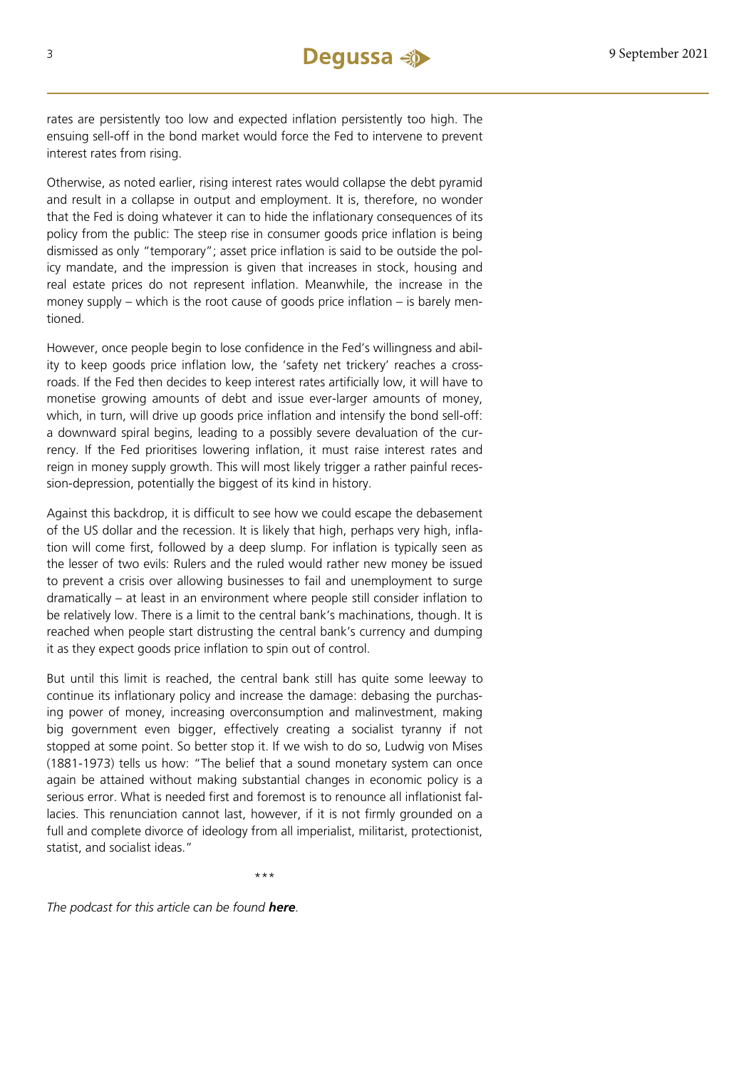rates are persistently too low and expected inflation persistently too high. The ensuing sell-off in the bond market would force the Fed to intervene to prevent interest rates from rising.

Otherwise, as noted earlier, rising interest rates would collapse the debt pyramid and result in a collapse in output and employment. It is, therefore, no wonder that the Fed is doing whatever it can to hide the inflationary consequences of its policy from the public: The steep rise in consumer goods price inflation is being dismissed as only "temporary"; asset price inflation is said to be outside the policy mandate, and the impression is given that increases in stock, housing and real estate prices do not represent inflation. Meanwhile, the increase in the money supply – which is the root cause of goods price inflation – is barely mentioned.

However, once people begin to lose confidence in the Fed's willingness and ability to keep goods price inflation low, the 'safety net trickery' reaches a crossroads. If the Fed then decides to keep interest rates artificially low, it will have to monetise growing amounts of debt and issue ever-larger amounts of money, which, in turn, will drive up goods price inflation and intensify the bond sell-off: a downward spiral begins, leading to a possibly severe devaluation of the currency. If the Fed prioritises lowering inflation, it must raise interest rates and reign in money supply growth. This will most likely trigger a rather painful recession-depression, potentially the biggest of its kind in history.

Against this backdrop, it is difficult to see how we could escape the debasement of the US dollar and the recession. It is likely that high, perhaps very high, inflation will come first, followed by a deep slump. For inflation is typically seen as the lesser of two evils: Rulers and the ruled would rather new money be issued to prevent a crisis over allowing businesses to fail and unemployment to surge dramatically – at least in an environment where people still consider inflation to be relatively low. There is a limit to the central bank's machinations, though. It is reached when people start distrusting the central bank's currency and dumping it as they expect goods price inflation to spin out of control.

But until this limit is reached, the central bank still has quite some leeway to continue its inflationary policy and increase the damage: debasing the purchasing power of money, increasing overconsumption and malinvestment, making big government even bigger, effectively creating a socialist tyranny if not stopped at some point. So better stop it. If we wish to do so, Ludwig von Mises (1881-1973) tells us how: "The belief that a sound monetary system can once again be attained without making substantial changes in economic policy is a serious error. What is needed first and foremost is to renounce all inflationist fallacies. This renunciation cannot last, however, if it is not firmly grounded on a full and complete divorce of ideology from all imperialist, militarist, protectionist, statist, and socialist ideas."

\*\*\*

*The podcast for this article can be found [here](https://soundcloud.com/user-889325874/it-all-depends-on-the-feds-safety-net).*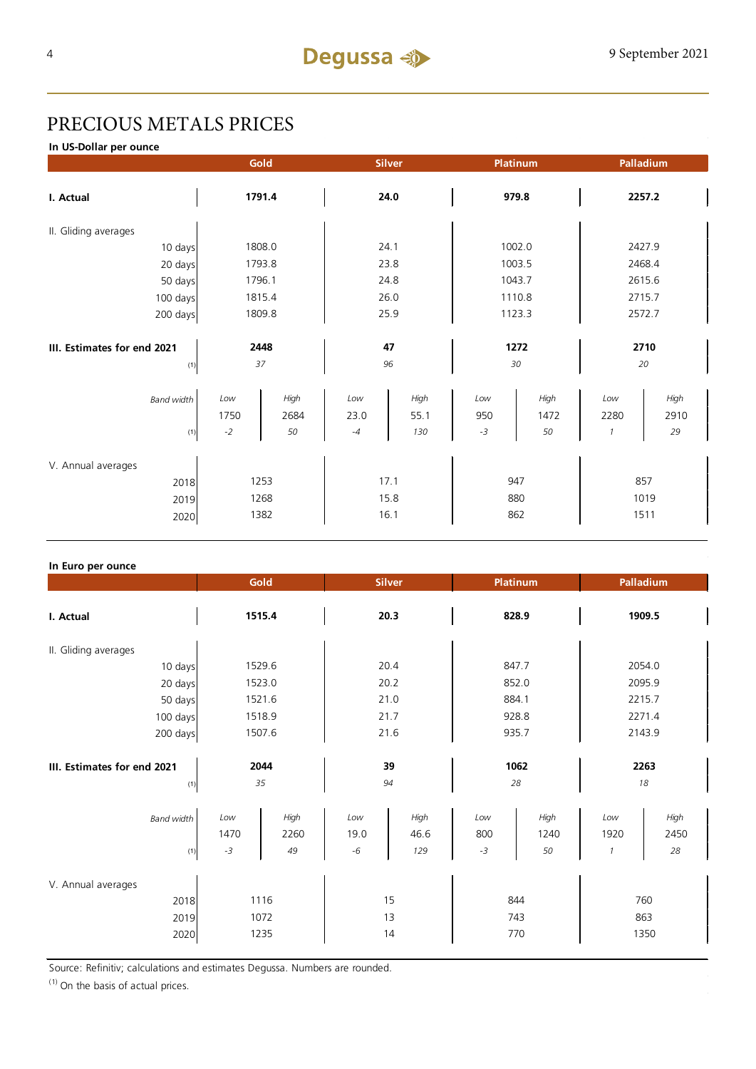## PRECIOUS METALS PRICES

**In US-Dollar per ounce**

|                                            | Gold                 |                    | <b>Silver</b>        |                     | Platinum           |                    | Palladium                    |                    |  |
|--------------------------------------------|----------------------|--------------------|----------------------|---------------------|--------------------|--------------------|------------------------------|--------------------|--|
| I. Actual                                  | 1791.4               |                    | 24.0                 |                     | 979.8              |                    | 2257.2                       |                    |  |
| II. Gliding averages                       |                      |                    |                      |                     |                    |                    |                              |                    |  |
| 10 days                                    | 1808.0               |                    | 24.1                 |                     | 1002.0             |                    | 2427.9                       |                    |  |
| 20 days                                    |                      | 1793.8             |                      | 23.8                |                    | 1003.5             |                              | 2468.4             |  |
| 50 days                                    |                      | 1796.1             |                      | 24.8                |                    | 1043.7             |                              | 2615.6             |  |
| 100 days                                   |                      | 1815.4             |                      | 26.0                |                    | 1110.8             |                              | 2715.7             |  |
| 200 days                                   | 1809.8               |                    | 25.9                 |                     | 1123.3             |                    | 2572.7                       |                    |  |
| III. Estimates for end 2021<br>(1)         | 2448<br>37           |                    | 47<br>96             |                     | 1272<br>30         |                    | 2710<br>20                   |                    |  |
| <b>Band width</b><br>(1)                   | Low<br>1750<br>$-2$  | High<br>2684<br>50 | Low<br>23.0<br>$-4$  | High<br>55.1<br>130 | Low<br>950<br>$-3$ | High<br>1472<br>50 | Low<br>2280<br>$\mathcal{I}$ | High<br>2910<br>29 |  |
| V. Annual averages<br>2018<br>2019<br>2020 | 1253<br>1268<br>1382 |                    | 17.1<br>15.8<br>16.1 |                     | 947<br>880<br>862  |                    | 857<br>1019<br>1511          |                    |  |

### **In Euro per ounce**

|                                            | Gold                |                      | <b>Silver</b>       |                     | Platinum           |                    | Palladium        |                    |
|--------------------------------------------|---------------------|----------------------|---------------------|---------------------|--------------------|--------------------|------------------|--------------------|
| I. Actual                                  | 1515.4              |                      | 20.3                |                     | 828.9              |                    | 1909.5           |                    |
| II. Gliding averages                       |                     |                      |                     |                     |                    |                    |                  |                    |
| 10 days                                    | 1529.6              |                      | 20.4                |                     | 847.7              |                    | 2054.0           |                    |
| 20 days                                    | 1523.0              |                      | 20.2                |                     | 852.0              |                    | 2095.9           |                    |
| 50 days                                    | 1521.6              |                      | 21.0                |                     | 884.1              |                    | 2215.7           |                    |
| 100 days                                   | 1518.9              |                      | 21.7                |                     | 928.8              |                    | 2271.4           |                    |
| 200 days                                   | 1507.6              |                      | 21.6                |                     | 935.7              |                    | 2143.9           |                    |
| III. Estimates for end 2021<br>(1)         | 2044<br>35          |                      | 39<br>94            |                     | 1062<br>28         |                    | 2263<br>18       |                    |
| <b>Band width</b><br>(1)                   | Low<br>1470<br>$-3$ | High<br>2260<br>49   | Low<br>19.0<br>$-6$ | High<br>46.6<br>129 | Low<br>800<br>$-3$ | High<br>1240<br>50 | Low<br>1920<br>1 | High<br>2450<br>28 |
| V. Annual averages<br>2018<br>2019<br>2020 |                     | 1116<br>1072<br>1235 |                     | 15<br>13<br>14      | 844<br>743         | 770                | 863              | 760<br>1350        |

Source: Refinitiv; calculations and estimates Degussa. Numbers are rounded.

 $(1)$  On the basis of actual prices.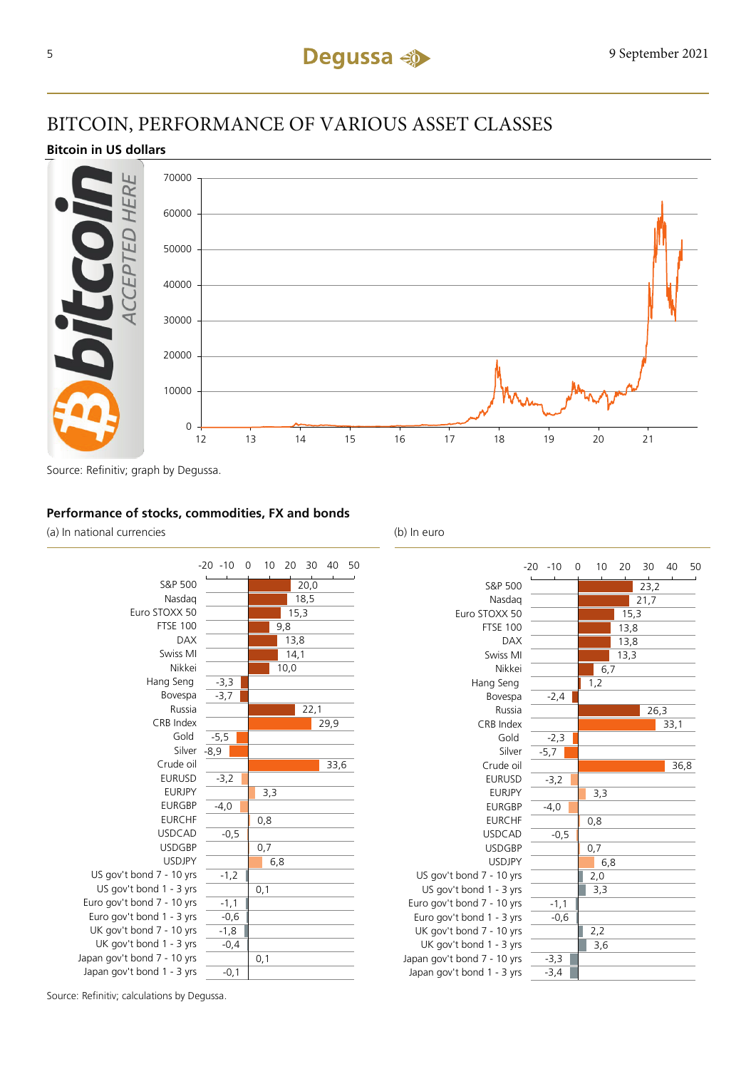### BITCOIN, PERFORMANCE OF VARIOUS ASSET CLASSES

### **Bitcoin in US dollars**



Source: Refinitiv; graph by Degussa.

### **Performance of stocks, commodities, FX and bonds**

(a) In national currencies (b) In euro





Source: Refinitiv; calculations by Degussa.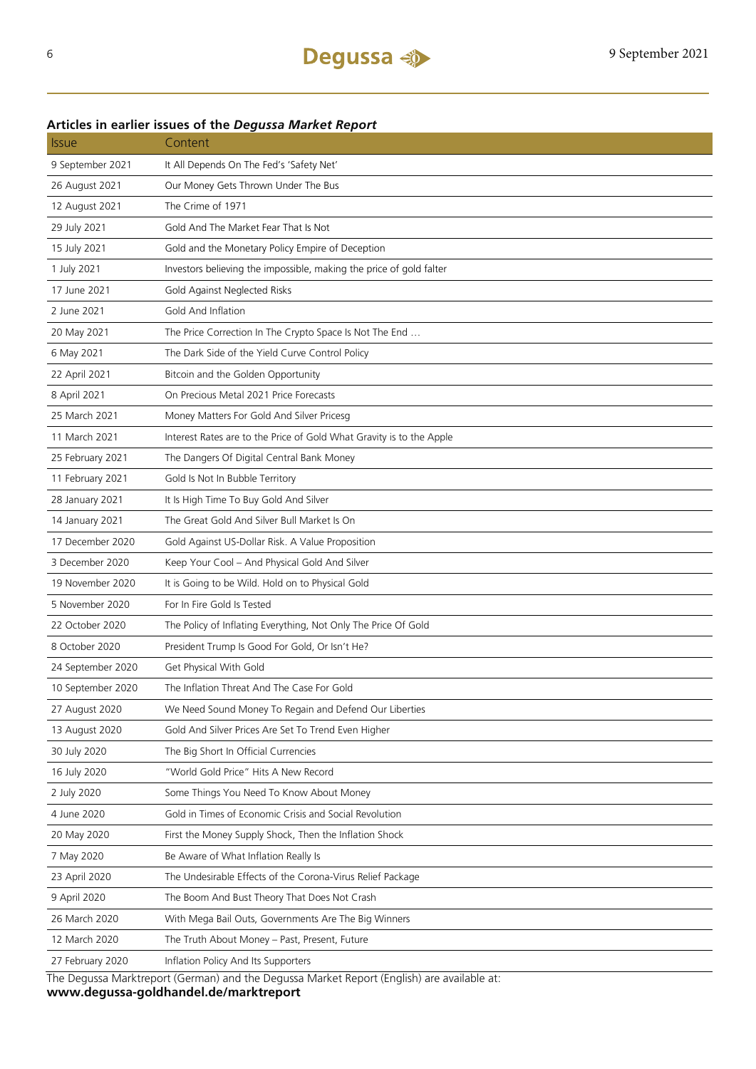### Issue Content 9 September 2021 It All Depends On The Fed's 'Safety Net' 26 August 2021 Our Money Gets Thrown Under The Bus 12 August 2021 The Crime of 1971 29 July 2021 Gold And The Market Fear That Is Not 15 July 2021 Gold and the Monetary Policy Empire of Deception 1 July 2021 Investors believing the impossible, making the price of gold falter 17 June 2021 Gold Against Neglected Risks 2 June 2021 Gold And Inflation 20 May 2021 The Price Correction In The Crypto Space Is Not The End ... 6 May 2021 The Dark Side of the Yield Curve Control Policy 22 April 2021 Bitcoin and the Golden Opportunity 8 April 2021 On Precious Metal 2021 Price Forecasts 25 March 2021 Money Matters For Gold And Silver Pricesg 11 March 2021 Interest Rates are to the Price of Gold What Gravity is to the Apple 25 February 2021 The Dangers Of Digital Central Bank Money 11 February 2021 Gold Is Not In Bubble Territory 28 January 2021 It Is High Time To Buy Gold And Silver 14 January 2021 The Great Gold And Silver Bull Market Is On 17 December 2020 Gold Against US-Dollar Risk. A Value Proposition 3 December 2020 Keep Your Cool – And Physical Gold And Silver 19 November 2020 It is Going to be Wild. Hold on to Physical Gold 5 November 2020 For In Fire Gold Is Tested 22 October 2020 The Policy of Inflating Everything, Not Only The Price Of Gold 8 October 2020 President Trump Is Good For Gold, Or Isn't He? 24 September 2020 Get Physical With Gold 10 September 2020 The Inflation Threat And The Case For Gold 27 August 2020 We Need Sound Money To Regain and Defend Our Liberties 13 August 2020 Gold And Silver Prices Are Set To Trend Even Higher 30 July 2020 The Big Short In Official Currencies 16 July 2020 "World Gold Price" Hits A New Record 2 July 2020 Some Things You Need To Know About Money 4 June 2020 Gold in Times of Economic Crisis and Social Revolution 20 May 2020 First the Money Supply Shock, Then the Inflation Shock 7 May 2020 Be Aware of What Inflation Really Is 23 April 2020 The Undesirable Effects of the Corona-Virus Relief Package 9 April 2020 The Boom And Bust Theory That Does Not Crash 26 March 2020 With Mega Bail Outs, Governments Are The Big Winners 12 March 2020 The Truth About Money – Past, Present, Future 27 February 2020 Inflation Policy And Its Supporters

### **Articles in earlier issues of the** *Degussa Market Report*

The Degussa Marktreport (German) and the Degussa Market Report (English) are available at: **www.degussa-goldhandel.de/marktreport**